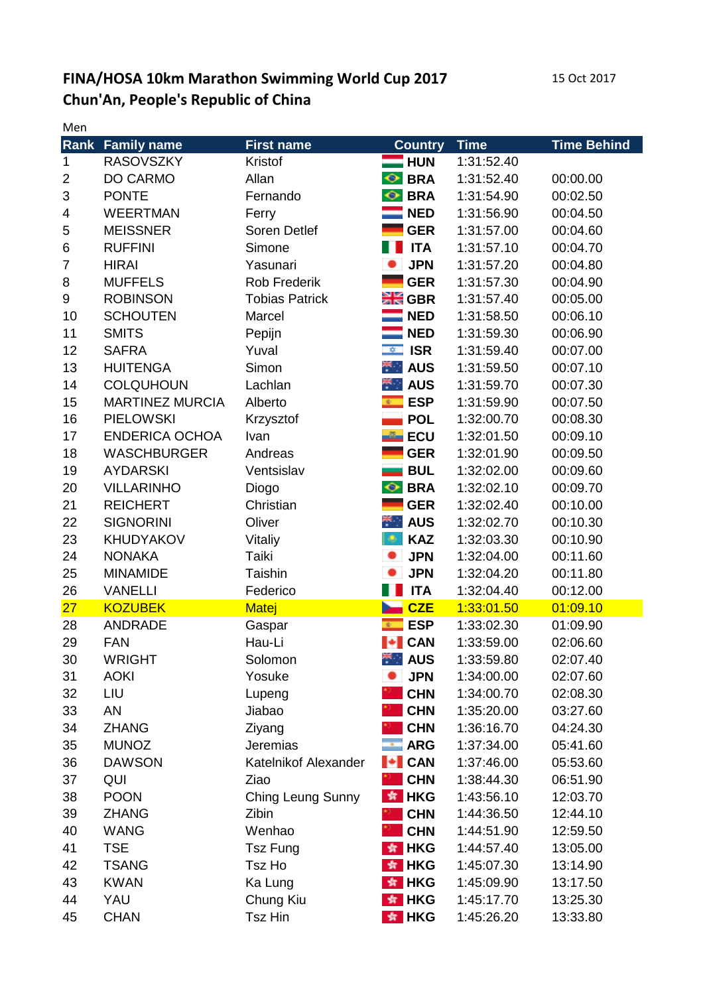## **FINA/HOSA 10km Marathon Swimming World Cup 2017** 15 Oct 2017 **Chun'An, People's Republic of China**

Men

| 171 J H        |                        |                       |                             |             |                    |
|----------------|------------------------|-----------------------|-----------------------------|-------------|--------------------|
| Rank           | <b>Family name</b>     | <b>First name</b>     | <b>Country</b>              | <b>Time</b> | <b>Time Behind</b> |
| $\mathbf{1}$   | <b>RASOVSZKY</b>       | Kristof               | <b>HUN</b>                  | 1:31:52.40  |                    |
| $\overline{2}$ | DO CARMO               | Allan                 | <b>O</b> BRA                | 1:31:52.40  | 00:00.00           |
| 3              | <b>PONTE</b>           | Fernando              | <b>O</b> BRA                | 1:31:54.90  | 00:02.50           |
| 4              | <b>WEERTMAN</b>        | Ferry                 | $\blacksquare$ NED          | 1:31:56.90  | 00:04.50           |
| 5              | <b>MEISSNER</b>        | Soren Detlef          | <b>GER</b>                  | 1:31:57.00  | 00:04.60           |
| 6              | <b>RUFFINI</b>         | Simone                | <b>ITA</b>                  | 1:31:57.10  | 00:04.70           |
| 7              | <b>HIRAI</b>           | Yasunari              | <b>JPN</b>                  | 1:31:57.20  | 00:04.80           |
| 8              | <b>MUFFELS</b>         | <b>Rob Frederik</b>   | <b>GER</b>                  | 1:31:57.30  | 00:04.90           |
| 9              | <b>ROBINSON</b>        | <b>Tobias Patrick</b> | $\geq$ GBR                  | 1:31:57.40  | 00:05.00           |
| 10             | <b>SCHOUTEN</b>        | Marcel                | $\blacksquare$ NED          | 1:31:58.50  | 00:06.10           |
| 11             | <b>SMITS</b>           | Pepijn                | <b>NED</b>                  | 1:31:59.30  | 00:06.90           |
| 12             | <b>SAFRA</b>           | Yuval                 | <b>ISR</b><br>$\frac{1}{2}$ | 1:31:59.40  | 00:07.00           |
| 13             | <b>HUITENGA</b>        | Simon                 | $\mathbb{R}$ AUS            | 1:31:59.50  | 00:07.10           |
| 14             | <b>COLQUHOUN</b>       | Lachlan               | $\star$ AUS                 | 1:31:59.70  | 00:07.30           |
| 15             | <b>MARTINEZ MURCIA</b> | Alberto               | <b>ESP</b><br>40.00         | 1:31:59.90  | 00:07.50           |
| 16             | <b>PIELOWSKI</b>       | Krzysztof             | <b>POL</b>                  | 1:32:00.70  | 00:08.30           |
| 17             | <b>ENDERICA OCHOA</b>  | Ivan                  | <b>ECU</b>                  | 1:32:01.50  | 00:09.10           |
| 18             | <b>WASCHBURGER</b>     | Andreas               | <b>GER</b>                  | 1:32:01.90  | 00:09.50           |
| 19             | <b>AYDARSKI</b>        | Ventsislav            | <b>BUL</b>                  | 1:32:02.00  | 00:09.60           |
| 20             | <b>VILLARINHO</b>      | Diogo                 | <b>O</b> BRA                | 1:32:02.10  | 00:09.70           |
| 21             | <b>REICHERT</b>        | Christian             | <b>GER</b>                  | 1:32:02.40  | 00:10.00           |
| 22             | <b>SIGNORINI</b>       | Oliver                | $\star$ AUS                 | 1:32:02.70  | 00:10.30           |
| 23             | <b>KHUDYAKOV</b>       |                       | <b>KAZ</b><br>٠             | 1:32:03.30  | 00:10.90           |
|                |                        | Vitaliy               | <b>JPN</b>                  |             |                    |
| 24             | <b>NONAKA</b>          | Taiki                 |                             | 1:32:04.00  | 00:11.60           |
| 25             | <b>MINAMIDE</b>        | Taishin               | <b>JPN</b>                  | 1:32:04.20  | 00:11.80           |
| 26             | <b>VANELLI</b>         | Federico              | $\blacksquare$ ITA          | 1:32:04.40  | 00:12.00           |
| 27             | <b>KOZUBEK</b>         | <b>Matej</b>          | <b>Det</b> CZE              | 1:33:01.50  | 01:09.10           |
| 28             | <b>ANDRADE</b>         | Gaspar                | <b>ESP</b><br>$\Phi =$      | 1:33:02.30  | 01:09.90           |
| 29             | <b>FAN</b>             | Hau-Li                | $\blacktriangleright$ CAN   | 1:33:59.00  | 02:06.60           |
| 30             | <b>WRIGHT</b>          | Solomon               | $\star$ AUS                 | 1:33:59.80  | 02:07.40           |
| 31             | <b>AOKI</b>            | Yosuke                | <b>JPN</b>                  | 1:34:00.00  | 02:07.60           |
| 32             | LIU                    | Lupeng                | <b>CHN</b>                  | 1:34:00.70  | 02:08.30           |
| 33             | AN                     | Jiabao                | <b>CHN</b>                  | 1:35:20.00  | 03:27.60           |
| 34             | <b>ZHANG</b>           | Ziyang                | <b>CHN</b>                  | 1:36:16.70  | 04:24.30           |
| 35             | <b>MUNOZ</b>           | Jeremias              | $\cdot$ ARG                 | 1:37:34.00  | 05:41.60           |
| 36             | <b>DAWSON</b>          | Katelnikof Alexander  | $\blacktriangleright$ CAN   | 1:37:46.00  | 05:53.60           |
| 37             | QUI                    | Ziao                  | <b>CHN</b>                  | 1:38:44.30  | 06:51.90           |
| 38             | <b>POON</b>            | Ching Leung Sunny     | $\star$ HKG                 | 1:43:56.10  | 12:03.70           |
| 39             | <b>ZHANG</b>           | Zibin                 | <b>CHN</b>                  | 1:44:36.50  | 12:44.10           |
| 40             | <b>WANG</b>            | Wenhao                | <b>CHN</b>                  | 1:44:51.90  | 12:59.50           |
| 41             | <b>TSE</b>             | <b>Tsz Fung</b>       | $\star$ HKG                 | 1:44:57.40  | 13:05.00           |
| 42             | <b>TSANG</b>           | Tsz Ho                | $\star$ HKG                 | 1:45:07.30  | 13:14.90           |
| 43             | <b>KWAN</b>            | Ka Lung               | $\star$ HKG                 | 1:45:09.90  | 13:17.50           |
| 44             | YAU                    | Chung Kiu             | $\star$ HKG                 | 1:45:17.70  | 13:25.30           |
| 45             | <b>CHAN</b>            | Tsz Hin               | $*$ HKG                     | 1:45:26.20  | 13:33.80           |
|                |                        |                       |                             |             |                    |